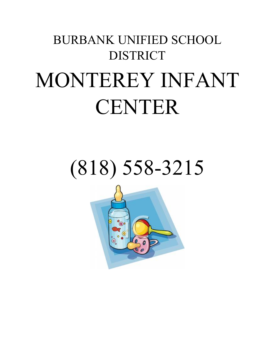# BURBANK UNIFIED SCHOOL DISTRICT MONTEREY INFANT CENTER

# (818) 558-3215

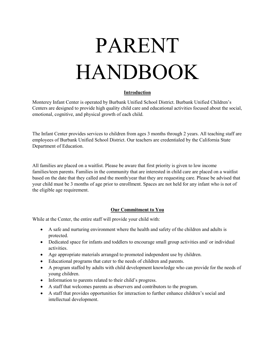# PARENT HANDBOOK

# **Introduction**

Monterey Infant Center is operated by Burbank Unified School District. Burbank Unified Children's Centers are designed to provide high quality child care and educational activities focused about the social, emotional, cognitive, and physical growth of each child.

The Infant Center provides services to children from ages 3 months through 2 years. All teaching staff are employees of Burbank Unified School District. Our teachers are credentialed by the California State Department of Education.

All families are placed on a waitlist. Please be aware that first priority is given to low income families/teen parents. Families in the community that are interested in child care are placed on a waitlist based on the date that they called and the month/year that they are requesting care. Please be advised that your child must be 3 months of age prior to enrollment. Spaces are not held for any infant who is not of the eligible age requirement.

# **Our Commitment to You**

While at the Center, the entire staff will provide your child with:

- A safe and nurturing environment where the health and safety of the children and adults is protected.
- Dedicated space for infants and toddlers to encourage small group activities and/ or individual activities.
- Age appropriate materials arranged to promoted independent use by children.
- Educational programs that cater to the needs of children and parents.
- A program staffed by adults with child development knowledge who can provide for the needs of young children.
- Information to parents related to their child's progress.
- A staff that welcomes parents as observers and contributors to the program.
- A staff that provides opportunities for interaction to further enhance children's social and intellectual development.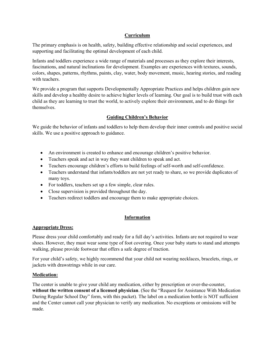# **Curriculum**

The primary emphasis is on health, safety, building effective relationship and social experiences, and supporting and facilitating the optimal development of each child.

Infants and toddlers experience a wide range of materials and processes as they explore their interests, fascinations, and natural inclinations for development. Examples are experiences with textures, sounds, colors, shapes, patterns, rhythms, paints, clay, water, body movement, music, hearing stories, and reading with teachers.

We provide a program that supports Developmentally Appropriate Practices and helps children gain new skills and develop a healthy desire to achieve higher levels of learning. Our goal is to build trust with each child as they are learning to trust the world, to actively explore their environment, and to do things for themselves.

# **Guiding Children's Behavior**

We guide the behavior of infants and toddlers to help them develop their inner controls and positive social skills. We use a positive approach to guidance.

- An environment is created to enhance and encourage children's positive behavior.
- Teachers speak and act in way they want children to speak and act.
- Teachers encourage children's efforts to build feelings of self-worth and self-confidence.
- Teachers understand that infants/toddlers are not yet ready to share, so we provide duplicates of many toys.
- For toddlers, teachers set up a few simple, clear rules.
- Close supervision is provided throughout the day.
- Teachers redirect toddlers and encourage them to make appropriate choices.

# **Information**

#### **Appropriate Dress:**

Please dress your child comfortably and ready for a full day's activities. Infants are not required to wear shoes. However, they must wear some type of foot covering. Once your baby starts to stand and attempts walking, please provide footwear that offers a safe degree of traction.

For your child's safety, we highly recommend that your child not wearing necklaces, bracelets, rings, or jackets with drawstrings while in our care.

#### **Medication:**

The center is unable to give your child any medication, either by prescription or over-the-counter, **without the written consent of a licensed physician**. (See the "Request for Assistance With Medication During Regular School Day" form, with this packet). The label on a medication bottle is NOT sufficient and the Center cannot call your physician to verify any medication. No exceptions or omissions will be made.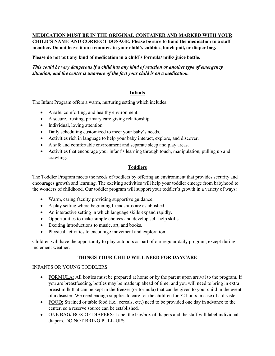**MEDICATION MUST BE IN THE ORIGINAL CONTAINER AND MARKED WITH YOUR** 

**CHILD'S NAME AND CORRECT DOSAGE. Please be sure to hand the medication to a staff member. Do not leave it on a counter, in your child's cubbies, lunch pail, or diaper bag.** 

**Please do not put any kind of medication in a child's formula/ milk/ juice bottle.** 

*This could be very dangerous if a child has any kind of reaction or another type of emergency situation, and the center is unaware of the fact your child is on a medication.* 

# **Infants**

The Infant Program offers a warm, nurturing setting which includes:

- A safe, comforting, and healthy environment.
- A secure, trusting, primary care giving relationship.
- Individual, loving attention.
- Daily scheduling customized to meet your baby's needs.
- Activities rich in language to help your baby interact, explore, and discover.
- A safe and comfortable environment and separate sleep and play areas.
- Activities that encourage your infant's learning through touch, manipulation, pulling up and crawling.

# **Toddlers**

The Toddler Program meets the needs of toddlers by offering an environment that provides security and encourages growth and learning. The exciting activities will help your toddler emerge from babyhood to the wonders of childhood. Our toddler program will support your toddler's growth in a variety of ways:

- Warm, caring faculty providing supportive guidance.
- A play setting where beginning friendships are established.
- An interactive setting in which language skills expand rapidly.
- Opportunities to make simple choices and develop self-help skills.
- Exciting introductions to music, art, and books.
- Physical activities to encourage movement and exploration.

Children will have the opportunity to play outdoors as part of our regular daily program, except during inclement weather.

# **THINGS YOUR CHILD WILL NEED FOR DAYCARE**

# INFANTS OR YOUNG TODDLERS:

- FORMULA: All bottles must be prepared at home or by the parent upon arrival to the program. If you are breastfeeding, bottles may be made up ahead of time, and you will need to bring in extra breast milk that can be kept in the freezer (or formula) that can be given to your child in the event of a disaster. We need enough supplies to care for the children for 72 hours in case of a disaster.
- FOOD: Strained or table food (i.e., cereals, etc.) need to be provided one day in advance to the center, so a reserve source can be established.
- ONE BAG/ BOX OF DIAPERS: Label the bag/box of diapers and the staff will label individual diapers. DO NOT BRING PULL-UPS.